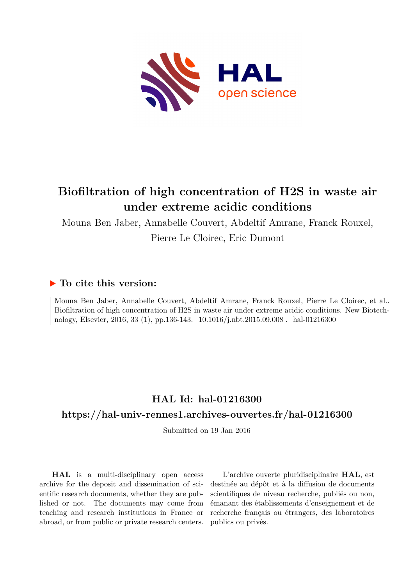

## **Biofiltration of high concentration of H2S in waste air under extreme acidic conditions**

Mouna Ben Jaber, Annabelle Couvert, Abdeltif Amrane, Franck Rouxel,

Pierre Le Cloirec, Eric Dumont

## **To cite this version:**

Mouna Ben Jaber, Annabelle Couvert, Abdeltif Amrane, Franck Rouxel, Pierre Le Cloirec, et al.. Biofiltration of high concentration of H2S in waste air under extreme acidic conditions. New Biotechnology, Elsevier, 2016, 33 (1), pp.136-143. 10.1016/j.nbt.2015.09.008 . hal-01216300

# **HAL Id: hal-01216300**

## **<https://hal-univ-rennes1.archives-ouvertes.fr/hal-01216300>**

Submitted on 19 Jan 2016

**HAL** is a multi-disciplinary open access archive for the deposit and dissemination of scientific research documents, whether they are published or not. The documents may come from teaching and research institutions in France or abroad, or from public or private research centers.

L'archive ouverte pluridisciplinaire **HAL**, est destinée au dépôt et à la diffusion de documents scientifiques de niveau recherche, publiés ou non, émanant des établissements d'enseignement et de recherche français ou étrangers, des laboratoires publics ou privés.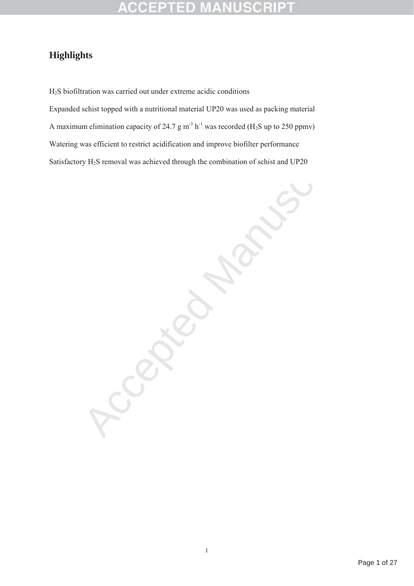### 어어진 51 D

## **Highlights**

H2S biofiltration was carried out under extreme acidic conditions Expanded schist topped with a nutritional material UP20 was used as packing material A maximum elimination capacity of 24.7 g  $m<sup>3</sup> h<sup>-1</sup>$  was recorded (H<sub>2</sub>S up to 250 ppmv) Watering was efficient to restrict acidification and improve biofilter performance Satisfactory H2S removal was achieved through the combination of schist and UP20

 $B$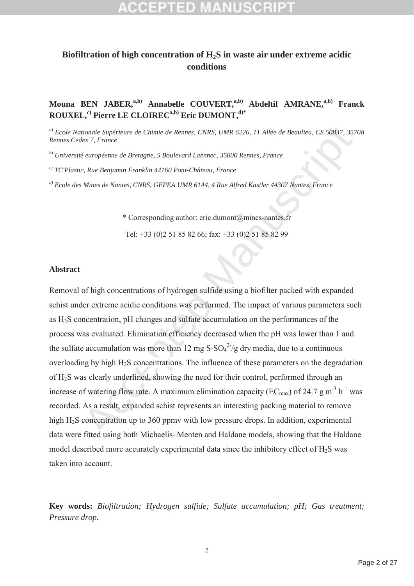## **Biofiltration of high concentration of H2S in waste air under extreme acidic conditions**

## Mouna BEN JABER,<sup>a,b)</sup> Annabelle COUVERT,<sup>a,b)</sup> Abdeltif AMRANE,<sup>a,b)</sup> Franck **ROUXEL,c) Pierre LE CLOIRECa,b) Eric DUMONT,d)\***

*a) Ecole Nationale Supérieure de Chimie de Rennes, CNRS, UMR 6226, 11 Allée de Beaulieu, CS 50837, 35708 Rennes Cedex 7, France*

*b) Université européenne de Bretagne, 5 Boulevard Laënnec, 35000 Rennes, France*

*c) TC'Plastic, Rue Benjamin Franklin 44160 Pont-Château, France*

*d) Ecole des Mines de Nantes, CNRS, GEPEA UMR 6144, 4 Rue Alfred Kastler 44307 Nantes, France*

\* Corresponding author: eric.dumont@mines-nantes.fr Tel: +33 (0)2 51 85 82 66; fax: +33 (0)2 51 85 82 99

### **Abstract**

tionale Supérieure de Chimie de Rennes, CNRS, UMR 6226, 11 Allée de Beaulieu, CS 50837, 35<br>
thex 7, France<br>
et auropéenne de Bretagne, 5 Boulevard Laënnec, 35000 Rennes, France<br>
et Rue Benjamin Franklin 44160 Pont-Château Removal of high concentrations of hydrogen sulfide using a biofilter packed with expanded schist under extreme acidic conditions was performed. The impact of various parameters such as H2S concentration, pH changes and sulfate accumulation on the performances of the process was evaluated. Elimination efficiency decreased when the pH was lower than 1 and the sulfate accumulation was more than 12 mg  $S-SO<sub>4</sub><sup>2</sup>/g$  dry media, due to a continuous overloading by high H2S concentrations. The influence of these parameters on the degradation of H2S was clearly underlined, showing the need for their control, performed through an increase of watering flow rate. A maximum elimination capacity ( $EC_{max}$ ) of 24.7 g m<sup>-3</sup> h<sup>-1</sup> was recorded. As a result, expanded schist represents an interesting packing material to remove high H<sub>2</sub>S concentration up to 360 ppmv with low pressure drops. In addition, experimental data were fitted using both Michaelis–Menten and Haldane models, showing that the Haldane model described more accurately experimental data since the inhibitory effect of H2S was taken into account.

**Key words:** *Biofiltration; Hydrogen sulfide; Sulfate accumulation; pH; Gas treatment; Pressure drop.*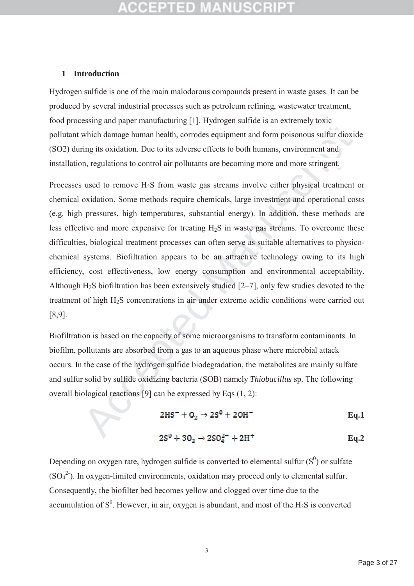### **1 Introduction**

Hydrogen sulfide is one of the main malodorous compounds present in waste gases. It can be produced by several industrial processes such as petroleum refining, wastewater treatment, food processing and paper manufacturing [1]. Hydrogen sulfide is an extremely toxic pollutant which damage human health, corrodes equipment and form poisonous sulfur dioxide (SO2) during its oxidation. Due to its adverse effects to both humans, environment and installation, regulations to control air pollutants are becoming more and more stringent.

which damage human health, corrodes equipment and form poisonous sulfur diox<br>which damage human health, corrodes equipment and form poisonous sulfur diox<br>ring its oxidation. Due to its adverse effects to both humans, envi Processes used to remove H<sub>2</sub>S from waste gas streams involve either physical treatment or chemical oxidation. Some methods require chemicals, large investment and operational costs (e.g. high pressures, high temperatures, substantial energy). In addition, these methods are less effective and more expensive for treating H2S in waste gas streams. To overcome these difficulties, biological treatment processes can often serve as suitable alternatives to physicochemical systems. Biofiltration appears to be an attractive technology owing to its high efficiency, cost effectiveness, low energy consumption and environmental acceptability. Although  $H_2S$  biofiltration has been extensively studied  $[2–7]$ , only few studies devoted to the treatment of high H2S concentrations in air under extreme acidic conditions were carried out [8,9].

Biofiltration is based on the capacity of some microorganisms to transform contaminants. In biofilm, pollutants are absorbed from a gas to an aqueous phase where microbial attack occurs. In the case of the hydrogen sulfide biodegradation, the metabolites are mainly sulfate and sulfur solid by sulfide oxidizing bacteria (SOB) namely *Thiobacillus* sp. The following overall biological reactions [9] can be expressed by Eqs (1, 2):

$$
2HS^{-} + O_2 \rightarrow 2S^{0} + 2OH^{-}
$$
 Eq.1

$$
2S^0 + 3O_2 \rightarrow 2SO_4^{2-} + 2H^+
$$
 Eq.2

Depending on oxygen rate, hydrogen sulfide is converted to elemental sulfur  $(S^0)$  or sulfate  $(SO<sub>4</sub><sup>2</sup>)$ . In oxygen-limited environments, oxidation may proceed only to elemental sulfur. Consequently, the biofilter bed becomes yellow and clogged over time due to the accumulation of  $S^0$ . However, in air, oxygen is abundant, and most of the H<sub>2</sub>S is converted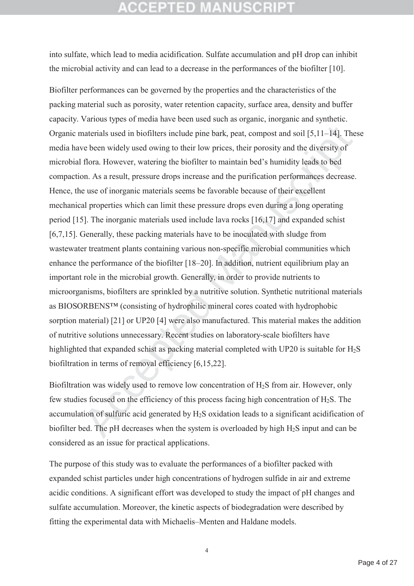## **CCEPTED MANUSCRI**

into sulfate, which lead to media acidification. Sulfate accumulation and pH drop can inhibit the microbial activity and can lead to a decrease in the performances of the biofilter [10].

naterials used in biofilters include pine bark, peat, compost and soil [5,11–14]. The bcom widely used owing to their low prices, their porosity and the diversity of flora. However, watering the biofilter to maintain bed's Biofilter performances can be governed by the properties and the characteristics of the packing material such as porosity, water retention capacity, surface area, density and buffer capacity. Various types of media have been used such as organic, inorganic and synthetic. Organic materials used in biofilters include pine bark, peat, compost and soil [5,11–14]. These media have been widely used owing to their low prices, their porosity and the diversity of microbial flora. However, watering the biofilter to maintain bed's humidity leads to bed compaction. As a result, pressure drops increase and the purification performances decrease. Hence, the use of inorganic materials seems be favorable because of their excellent mechanical properties which can limit these pressure drops even during a long operating period [15]. The inorganic materials used include lava rocks [16,17] and expanded schist [6,7,15]. Generally, these packing materials have to be inoculated with sludge from wastewater treatment plants containing various non-specific microbial communities which enhance the performance of the biofilter [18–20]. In addition, nutrient equilibrium play an important role in the microbial growth. Generally, in order to provide nutrients to microorganisms, biofilters are sprinkled by a nutritive solution. Synthetic nutritional materials as BIOSORBENS™ (consisting of hydrophilic mineral cores coated with hydrophobic sorption material) [21] or UP20 [4] were also manufactured. This material makes the addition of nutritive solutions unnecessary. Recent studies on laboratory-scale biofilters have highlighted that expanded schist as packing material completed with UP20 is suitable for  $H_2S$ biofiltration in terms of removal efficiency [6,15,22].

Biofiltration was widely used to remove low concentration of H<sub>2</sub>S from air. However, only few studies focused on the efficiency of this process facing high concentration of  $H_2S$ . The accumulation of sulfuric acid generated by H2S oxidation leads to a significant acidification of biofilter bed. The pH decreases when the system is overloaded by high H2S input and can be considered as an issue for practical applications.

The purpose of this study was to evaluate the performances of a biofilter packed with expanded schist particles under high concentrations of hydrogen sulfide in air and extreme acidic conditions. A significant effort was developed to study the impact of pH changes and sulfate accumulation. Moreover, the kinetic aspects of biodegradation were described by fitting the experimental data with Michaelis–Menten and Haldane models.

4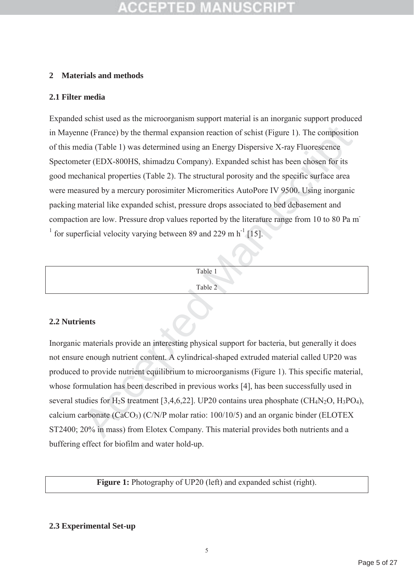## **2 Materials and methods**

## **2.1 Filter media**

me (France) by the thermal expansion reaction of schist (Figure 1). The compositic<br>dia (Table 1) was determined using an Energy Dispersive X-ray Fluorescence<br>ter (EDX-800HS, shimadzu Company). Expanded schist has been cho Expanded schist used as the microorganism support material is an inorganic support produced in Mayenne (France) by the thermal expansion reaction of schist (Figure 1). The composition of this media (Table 1) was determined using an Energy Dispersive X-ray Fluorescence Spectometer (EDX-800HS, shimadzu Company). Expanded schist has been chosen for its good mechanical properties (Table 2). The structural porosity and the specific surface area were measured by a mercury porosimiter Micromeritics AutoPore IV 9500. Using inorganic packing material like expanded schist, pressure drops associated to bed debasement and compaction are low. Pressure drop values reported by the literature range from 10 to 80 Pa m-<sup>1</sup> for superficial velocity varying between 89 and 229 m  $h^{-1}$  [15].

| Table 1 |
|---------|
| Table 2 |
|         |

## **2.2 Nutrients**

Inorganic materials provide an interesting physical support for bacteria, but generally it does not ensure enough nutrient content. A cylindrical-shaped extruded material called UP20 was produced to provide nutrient equilibrium to microorganisms (Figure 1). This specific material, whose formulation has been described in previous works [4], has been successfully used in several studies for  $H_2S$  treatment [3,4,6,22]. UP20 contains urea phosphate (CH<sub>4</sub>N<sub>2</sub>O, H<sub>3</sub>PO<sub>4</sub>), calcium carbonate  $(CaCO<sub>3</sub>) (C/N/P$  molar ratio: 100/10/5) and an organic binder (ELOTEX ST2400; 20% in mass) from Elotex Company. This material provides both nutrients and a buffering effect for biofilm and water hold-up.

**Figure 1:** Photography of UP20 (left) and expanded schist (right).

## **2.3 Experimental Set-up**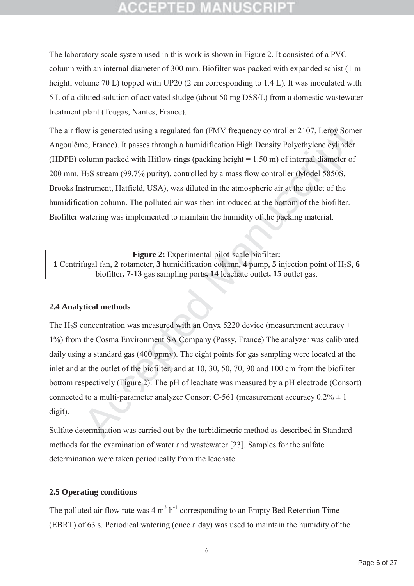# ecephed M

The laboratory-scale system used in this work is shown in Figure 2. It consisted of a PVC column with an internal diameter of 300 mm. Biofilter was packed with expanded schist (1 m height; volume 70 L) topped with UP20 (2 cm corresponding to 1.4 L). It was inoculated with 5 L of a diluted solution of activated sludge (about 50 mg DSS/L) from a domestic wastewater treatment plant (Tougas, Nantes, France).

ow is generated using a regulated fan (FMV frequency controller 2107, Leroy Son<br>
ne, France). It passes through a humidification High Density Polyethylene cylinde<br>
column packed with Hiflow rings (packing height = 1.50 m) The air flow is generated using a regulated fan (FMV frequency controller 2107, Leroy Somer Angoulême, France). It passes through a humidification High Density Polyethylene cylinder (HDPE) column packed with Hiflow rings (packing height = 1.50 m) of internal diameter of 200 mm. H2S stream (99.7% purity), controlled by a mass flow controller (Model 5850S, Brooks Instrument, Hatfield, USA), was diluted in the atmospheric air at the outlet of the humidification column. The polluted air was then introduced at the bottom of the biofilter. Biofilter watering was implemented to maintain the humidity of the packing material.

**Figure 2:** Experimental pilot-scale biofilter**: 1** Centrifugal fan**, 2** rotameter**, 3** humidification column**, 4** pump**, 5** injection point of H2S**, 6** biofilter**, 7-13** gas sampling ports**, 14** leachate outlet**, 15** outlet gas.

## **2.4 Analytical methods**

The H<sub>2</sub>S concentration was measured with an Onyx 5220 device (measurement accuracy  $\pm$ 1%) from the Cosma Environment SA Company (Passy, France) The analyzer was calibrated daily using a standard gas (400 ppmv). The eight points for gas sampling were located at the inlet and at the outlet of the biofilter, and at 10, 30, 50, 70, 90 and 100 cm from the biofilter bottom respectively (Figure 2). The pH of leachate was measured by a pH electrode (Consort) connected to a multi-parameter analyzer Consort C-561 (measurement accuracy  $0.2\% \pm 1$ ) digit).

Sulfate determination was carried out by the turbidimetric method as described in Standard methods for the examination of water and wastewater [23]. Samples for the sulfate determination were taken periodically from the leachate.

## **2.5 Operating conditions**

The polluted air flow rate was  $4 \text{ m}^3 \text{ h}^{-1}$  corresponding to an Empty Bed Retention Time (EBRT) of 63 s. Periodical watering (once a day) was used to maintain the humidity of the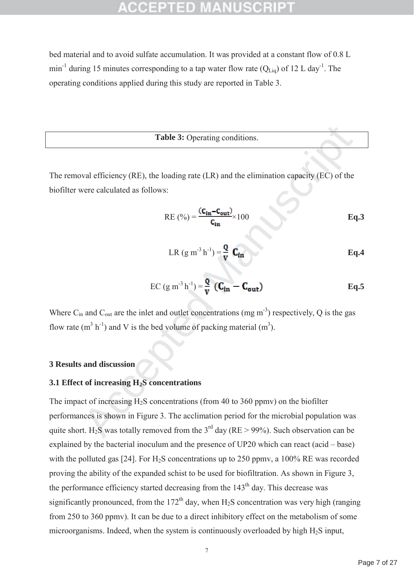bed material and to avoid sulfate accumulation. It was provided at a constant flow of 0.8 L min<sup>-1</sup> during 15 minutes corresponding to a tap water flow rate  $(O<sub>Liq</sub>)$  of 12 L day<sup>-1</sup>. The operating conditions applied during this study are reported in Table 3.

**Table 3:** Operating conditions.

The removal efficiency (RE), the loading rate (LR) and the elimination capacity (EC) of the biofilter were calculated as follows:

RE 
$$
(\%) = \frac{(c_{in} - c_{out})}{c_{in}} \times 100
$$
 Eq.3

$$
LR (g m-3 h-1) = \frac{Q}{V} C_{in}
$$
 Eq.4

EC 
$$
(g m-3 h-1) = \frac{Q}{v} (Cin - Cout)
$$
 Eq.5

Where  $C_{in}$  and  $C_{out}$  are the inlet and outlet concentrations (mg m<sup>-3</sup>) respectively, Q is the gas flow rate  $(m^3 h^{-1})$  and V is the bed volume of packing material  $(m^3)$ .

## **3 Results and discussion**

## **3.1 Effect of increasing H2S concentrations**

Table 3: Operating conditions.<br>
We vertex definiency (RE), the loading rate (LR) and the elimination capacity (EC) of the<br>
verte calculated as follows:<br>  $RE(^{96}) = \frac{C_{\text{In}} - C_{\text{on}}}{C_{\text{In}}} \times 100$ <br>  $E$ <br>  $I: R (g m<sup>-3</sup> h<sup>-1</sup>$ The impact of increasing  $H_2S$  concentrations (from 40 to 360 ppmv) on the biofilter performances is shown in Figure 3. The acclimation period for the microbial population was quite short. H<sub>2</sub>S was totally removed from the 3<sup>rd</sup> day (RE > 99%). Such observation can be explained by the bacterial inoculum and the presence of UP20 which can react (acid – base) with the polluted gas [24]. For H<sub>2</sub>S concentrations up to 250 ppmv, a 100% RE was recorded proving the ability of the expanded schist to be used for biofiltration. As shown in Figure 3, the performance efficiency started decreasing from the  $143<sup>th</sup>$  day. This decrease was significantly pronounced, from the  $172<sup>th</sup>$  day, when H<sub>2</sub>S concentration was very high (ranging from 250 to 360 ppmv). It can be due to a direct inhibitory effect on the metabolism of some microorganisms. Indeed, when the system is continuously overloaded by high H2S input,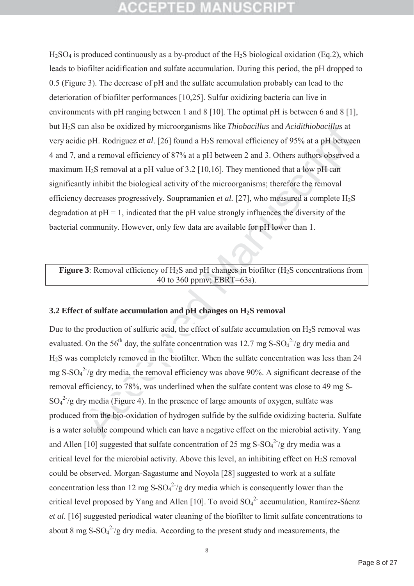# QCEPTED MANUSCR

 $H<sub>2</sub>SO<sub>4</sub>$  is produced continuously as a by-product of the  $H<sub>2</sub>SO<sub>4</sub>$  is producted continuously as a by-product of the  $H<sub>2</sub>SO<sub>4</sub>$  is producted continuously as a by-product of the  $H<sub>2</sub>SO<sub>4</sub>$ leads to biofilter acidification and sulfate accumulation. During this period, the pH dropped to 0.5 (Figure 3). The decrease of pH and the sulfate accumulation probably can lead to the deterioration of biofilter performances [10,25]. Sulfur oxidizing bacteria can live in environments with pH ranging between 1 and 8 [10]. The optimal pH is between 6 and 8 [1], but H2S can also be oxidized by microorganisms like *Thiobacillus* and *Acidithiobacillus* at very acidic pH. Rodriguez *et al*. [26] found a H2S removal efficiency of 95% at a pH between 4 and 7, and a removal efficiency of 87% at a pH between 2 and 3. Others authors observed a maximum  $H_2S$  removal at a pH value of 3.2 [10,16]. They mentioned that a low pH can significantly inhibit the biological activity of the microorganisms; therefore the removal efficiency decreases progressively. Soupramanien *et al.* [27], who measured a complete H<sub>2</sub>S degradation at  $pH = 1$ , indicated that the  $pH$  value strongly influences the diversity of the bacterial community. However, only few data are available for pH lower than 1.

## **Figure 3**: Removal efficiency of H<sub>2</sub>S and pH changes in biofilter (H<sub>2</sub>S concentrations from 40 to 360 ppmv; EBRT=63s).

## **3.2 Effect of sulfate accumulation and pH changes on H2S removal**

an also be oxidized by microorganisms like *Thiobacillus* and *Acidithiobacillus* at epH. Rodriguez et al. [26] found a H<sub>2</sub>S removal efficiency of 95% at a pH betwe and a removal efficiency of 95% at a pH between 2 and 3 Due to the production of sulfuric acid, the effect of sulfate accumulation on  $H_2S$  removal was evaluated. On the 56<sup>th</sup> day, the sulfate concentration was 12.7 mg S-SO<sub>4</sub><sup>2-</sup>/g dry media and H2S was completely removed in the biofilter. When the sulfate concentration was less than 24 mg S-SO $4^{27}/g$  dry media, the removal efficiency was above 90%. A significant decrease of the removal efficiency, to 78%, was underlined when the sulfate content was close to 49 mg S- $SO_4^2$  /g dry media (Figure 4). In the presence of large amounts of oxygen, sulfate was produced from the bio-oxidation of hydrogen sulfide by the sulfide oxidizing bacteria. Sulfate is a water soluble compound which can have a negative effect on the microbial activity. Yang and Allen [10] suggested that sulfate concentration of 25 mg  $S-SO<sub>4</sub><sup>2</sup>/g$  dry media was a critical level for the microbial activity. Above this level, an inhibiting effect on  $H_2S$  removal could be observed. Morgan-Sagastume and Noyola [28] suggested to work at a sulfate concentration less than 12 mg  $S-SO<sub>4</sub><sup>2</sup>/g$  dry media which is consequently lower than the critical level proposed by Yang and Allen [10]. To avoid  $SO_4^2$  accumulation, Ramírez-Sáenz *et al*. [16] suggested periodical water cleaning of the biofilter to limit sulfate concentrations to about 8 mg S-SO $4^2$ /g dry media. According to the present study and measurements, the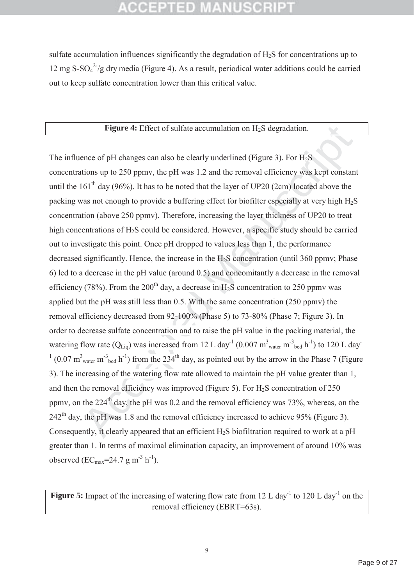## CCEPTED

sulfate accumulation influences significantly the degradation of H<sub>2</sub>S for concentrations up to 12 mg  $S-SO<sub>4</sub><sup>2</sup>/g$  dry media (Figure 4). As a result, periodical water additions could be carried out to keep sulfate concentration lower than this critical value.

### **Figure 4:** Effect of sulfate accumulation on H<sub>2</sub>S degradation.

**Figure 4:** Effect of sulfate accumulation on H<sub>2</sub>S degradation.<br>
ence of pH changes can also be clearly underlined (Figure 3). For H<sub>2</sub>S<br>
titions up to 250 ppmv, the pH was 1.2 and the removal efficiency was kept constat The influence of pH changes can also be clearly underlined (Figure 3). For  $H_2S$ concentrations up to 250 ppmv, the pH was 1.2 and the removal efficiency was kept constant until the  $161<sup>th</sup>$  day (96%). It has to be noted that the layer of UP20 (2cm) located above the packing was not enough to provide a buffering effect for biofilter especially at very high H2S concentration (above 250 ppmv). Therefore, increasing the layer thickness of UP20 to treat high concentrations of H<sub>2</sub>S could be considered. However, a specific study should be carried out to investigate this point. Once pH dropped to values less than 1, the performance decreased significantly. Hence, the increase in the  $H<sub>2</sub>S$  concentration (until 360 ppmv; Phase 6) led to a decrease in the pH value (around 0.5) and concomitantly a decrease in the removal efficiency (78%). From the 200<sup>th</sup> day, a decrease in H<sub>2</sub>S concentration to 250 ppmv was applied but the pH was still less than 0.5. With the same concentration (250 ppmv) the removal efficiency decreased from 92-100% (Phase 5) to 73-80% (Phase 7; Figure 3). In order to decrease sulfate concentration and to raise the pH value in the packing material, the watering flow rate ( $Q_{Liq}$ ) was increased from 12 L day<sup>-1</sup> (0.007 m<sup>3</sup><sub>water</sub> m<sup>-3</sup><sub>bed</sub> h<sup>-1</sup>) to 120 L day  $1 (0.07 \text{ m}^3)$ <sub>water</sub> m<sup>-3</sup>bed h<sup>-1</sup>) from the 234<sup>th</sup> day, as pointed out by the arrow in the Phase 7 (Figure 3). The increasing of the watering flow rate allowed to maintain the pH value greater than 1, and then the removal efficiency was improved (Figure 5). For  $H<sub>2</sub>S$  concentration of 250 ppmy, on the  $224<sup>th</sup>$  day, the pH was 0.2 and the removal efficiency was 73%, whereas, on the  $242<sup>th</sup>$  day, the pH was 1.8 and the removal efficiency increased to achieve 95% (Figure 3). Consequently, it clearly appeared that an efficient H<sub>2</sub>S biofiltration required to work at a pH greater than 1. In terms of maximal elimination capacity, an improvement of around 10% was observed (EC<sub>max</sub>=24.7 g m<sup>-3</sup> h<sup>-1</sup>).

**Figure 5:** Impact of the increasing of watering flow rate from 12 L day<sup>-1</sup> to 120 L day<sup>-1</sup> on the removal efficiency (EBRT=63s).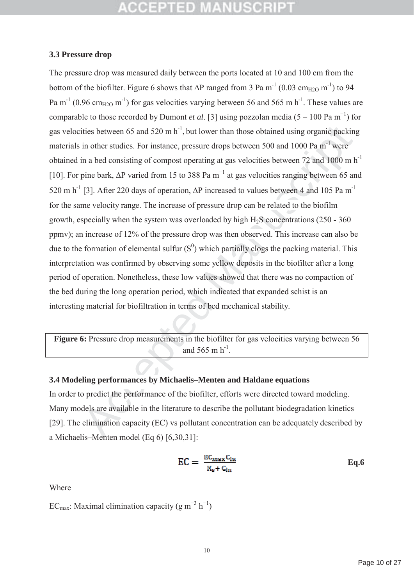## **3.3 Pressure drop**

ities between 65 and 520 m h<sup>-1</sup>, but lower than those obtained using organic packin<br>in other studies. For instance, pressure drops between 500 and 1000 Pa m<sup>-1</sup> were<br>in a bed consisting of compost operating at gas veloci The pressure drop was measured daily between the ports located at 10 and 100 cm from the bottom of the biofilter. Figure 6 shows that  $\Delta P$  ranged from 3 Pa m<sup>-1</sup> (0.03 cm<sub>H2O</sub> m<sup>-1</sup>) to 94 Pa m<sup>-1</sup> (0.96 cm<sub>H2O</sub> m<sup>-1</sup>) for gas velocities varying between 56 and 565 m h<sup>-1</sup>. These values are comparable to those recorded by Dumont *et al.* [3] using pozzolan media  $(5 - 100 \text{ Pa m}^{-1})$  for gas velocities between 65 and 520 m  $h^{-1}$ , but lower than those obtained using organic packing materials in other studies. For instance, pressure drops between 500 and 1000 Pa m<sup>-1</sup> were obtained in a bed consisting of compost operating at gas velocities between 72 and 1000 m  $h^{-1}$ [10]. For pine bark,  $\Delta P$  varied from 15 to 388 Pa m<sup>-1</sup> at gas velocities ranging between 65 and 520 m h<sup>-1</sup> [3]. After 220 days of operation,  $\Delta P$  increased to values between 4 and 105 Pa m<sup>-1</sup> for the same velocity range. The increase of pressure drop can be related to the biofilm growth, especially when the system was overloaded by high  $H<sub>2</sub>S$  concentrations (250 - 360) ppmv); an increase of 12% of the pressure drop was then observed. This increase can also be due to the formation of elemental sulfur  $(S^0)$  which partially clogs the packing material. This interpretation was confirmed by observing some yellow deposits in the biofilter after a long period of operation. Nonetheless, these low values showed that there was no compaction of the bed during the long operation period, which indicated that expanded schist is an interesting material for biofiltration in terms of bed mechanical stability.

**Figure 6:** Pressure drop measurements in the biofilter for gas velocities varying between 56 and 565 m  $h^{-1}$ .

## **3.4 Modeling performances by Michaelis–Menten and Haldane equations**

In order to predict the performance of the biofilter, efforts were directed toward modeling. Many models are available in the literature to describe the pollutant biodegradation kinetics [29]. The elimination capacity (EC) vs pollutant concentration can be adequately described by a Michaelis–Menten model (Eq 6) [6,30,31]:

$$
EC = \frac{EC_{\text{max}}C_{\text{ln}}}{K_{\text{s}} + C_{\text{ln}}} \qquad \qquad \text{Eq.6}
$$

Where

EC<sub>max</sub>: Maximal elimination capacity (g m<sup>-3</sup> h<sup>-1</sup>)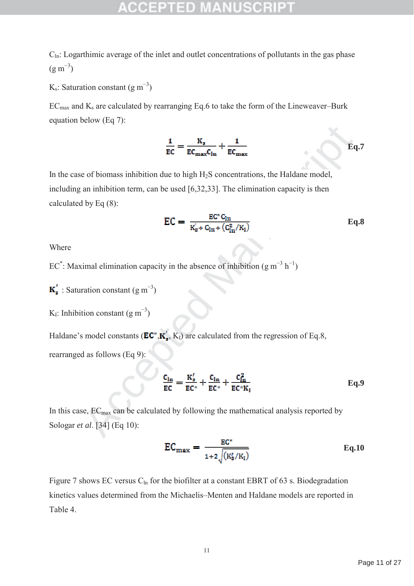$C<sub>ln</sub>$ : Logarthimic average of the inlet and outlet concentrations of pollutants in the gas phase  $(g m^{-3})$ 

 $K_s$ : Saturation constant  $(g m^{-3})$ 

 $EC<sub>max</sub>$  and  $K<sub>s</sub>$  are calculated by rearranging Eq.6 to take the form of the Lineweaver–Burk equation below (Eq 7):

$$
\frac{1}{EC} = \frac{K_s}{EC_{\text{max}}C_{\text{ln}}} + \frac{1}{EC_{\text{max}}}
$$
 Eq.7

 $\frac{1}{EC} = \frac{K_z}{EC_{max}C_{ln}} + \frac{1}{EC_{max}}$ <br>
e of biomass inhibition due to high H<sub>2</sub>S concentrations, the Haldane model,<br>
an inhibition term, can be used [6,32,33]. The elimination capacity is then<br>
by Eq (8):<br>  $\qquad \qquad EC = \frac{EC^cG_{ln$ In the case of biomass inhibition due to high  $H_2S$  concentrations, the Haldane model, including an inhibition term, can be used [6,32,33]. The elimination capacity is then calculated by Eq (8):

$$
EC = \frac{EC^*C_{ln}}{K_s' + C_{ln} + (C_{ln}^2/K_l)}
$$
 Eq.8

Where

EC<sup>\*</sup>: Maximal elimination capacity in the absence of inhibition (g m<sup>-3</sup> h<sup>-1</sup>)

: Saturation constant  $(g m^{-3})$ 

K<sub>I</sub>: Inhibition constant  $(g m^{-3})$ 

Haldane's model constants ( $\mathbf{EC}^*, \mathbf{K}'_*, K_1$ ) are calculated from the regression of Eq.8, rearranged as follows (Eq 9):

$$
\frac{C_{\text{ln}}}{EC} = \frac{K_s'}{EC^*} + \frac{C_{\text{ln}}}{EC^*} + \frac{C_{\text{ln}}^2}{EC^*K_1}
$$
 Eq.9

In this case,  $EC_{\text{max}}$  can be calculated by following the mathematical analysis reported by Sologar *et al*. [34] (Eq 10):

$$
EC_{\text{max}} = \frac{EC^*}{1 + 2\sqrt{(K_s'/K_1)}} \tag{Eq.10}
$$

Figure 7 shows EC versus  $C_{\ln}$  for the biofilter at a constant EBRT of 63 s. Biodegradation kinetics values determined from the Michaelis–Menten and Haldane models are reported in Table 4.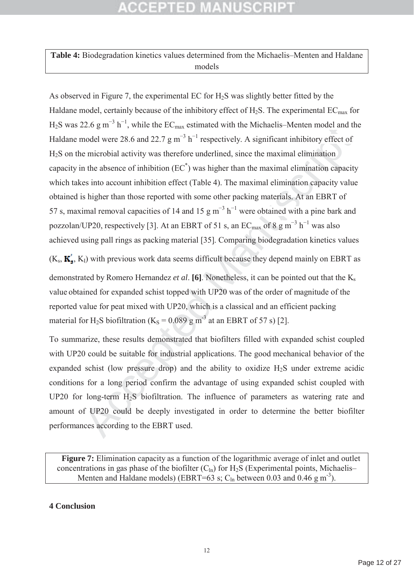# GOEPTED MANUSOR

## **Table 4:** Biodegradation kinetics values determined from the Michaelis–Menten and Haldane models

22.6 g m<sup>-n</sup> n, while the FC<sub>max</sub> estimated with the Mienalais--Wienter model and nodel were 28.6 and 22.7 g m<sup>-3</sup> h<sup>-1</sup> respectively. A significant inhibitiony effect of microbial activity was therefore underlined, since As observed in Figure 7, the experimental EC for  $H<sub>2</sub>S$  was slightly better fitted by the Haldane model, certainly because of the inhibitory effect of  $H_2S$ . The experimental  $EC_{max}$  for  $H_2$ S was 22.6 g m<sup>-3</sup> h<sup>-1</sup>, while the EC<sub>max</sub> estimated with the Michaelis–Menten model and the Haldane model were 28.6 and 22.7  $\text{g m}^{-3} \text{ h}^{-1}$  respectively. A significant inhibitory effect of H2S on the microbial activity was therefore underlined, since the maximal elimination capacity in the absence of inhibition  $(EC^*)$  was higher than the maximal elimination capacity which takes into account inhibition effect (Table 4). The maximal elimination capacity value obtained is higher than those reported with some other packing materials. At an EBRT of 57 s, maximal removal capacities of 14 and 15 g  $m^{-3}$  h<sup>-1</sup> were obtained with a pine bark and pozzolan/UP20, respectively [3]. At an EBRT of 51 s, an  $EC_{max}$  of 8 g  $m^{-3}$   $h^{-1}$  was also achieved using pall rings as packing material [35]. Comparing biodegradation kinetics values

 $(K<sub>s</sub>, K<sub>s</sub>, K<sub>1</sub>)$  with previous work data seems difficult because they depend mainly on EBRT as demonstrated by Romero Hernandez *et al*. **[6]**. Nonetheless, it can be pointed out that the Ks value obtained for expanded schist topped with UP20 was of the order of magnitude of the reported value for peat mixed with UP20, which is a classical and an efficient packing material for H<sub>2</sub>S biofiltration (K<sub>S</sub> =  $0.089$  g m<sup>-3</sup> at an EBRT of 57 s) [2].

To summarize, these results demonstrated that biofilters filled with expanded schist coupled with UP20 could be suitable for industrial applications. The good mechanical behavior of the expanded schist (low pressure drop) and the ability to oxidize  $H_2S$  under extreme acidic conditions for a long period confirm the advantage of using expanded schist coupled with UP20 for long-term H<sub>2</sub>S biofiltration. The influence of parameters as watering rate and amount of UP20 could be deeply investigated in order to determine the better biofilter performances according to the EBRT used.

**Figure 7:** Elimination capacity as a function of the logarithmic average of inlet and outlet concentrations in gas phase of the biofilter  $(C<sub>ln</sub>)$  for H<sub>2</sub>S (Experimental points, Michaelis– Menten and Haldane models) (EBRT=63 s;  $C_{\text{ln}}$  between 0.03 and 0.46 g m<sup>-3</sup>).

## **4 Conclusion**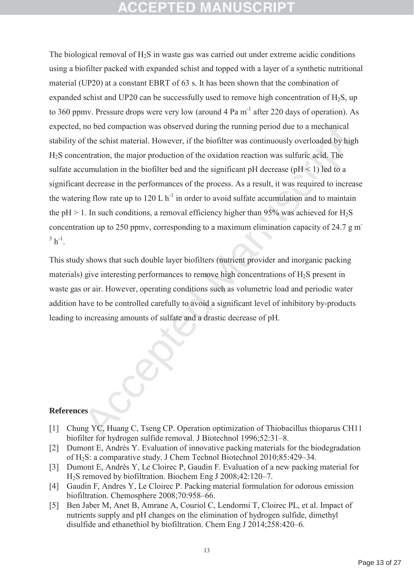no bed compaction was observed during the running period due to a mechanical<br>of the schist material. However, if the biofiliter was continuously overloaded by higentration, the major production of the oxidation reaction. The biological removal of H2S in waste gas was carried out under extreme acidic conditions using a biofilter packed with expanded schist and topped with a layer of a synthetic nutritional material (UP20) at a constant EBRT of 63 s. It has been shown that the combination of expanded schist and UP20 can be successfully used to remove high concentration of  $H_2S$ , up to 360 ppmv. Pressure drops were very low (around  $4 \text{ Pa m}^{-1}$  after 220 days of operation). As expected, no bed compaction was observed during the running period due to a mechanical stability of the schist material. However, if the biofilter was continuously overloaded by high H2S concentration, the major production of the oxidation reaction was sulfuric acid. The sulfate accumulation in the biofilter bed and the significant  $pH$  decrease ( $pH < 1$ ) led to a significant decrease in the performances of the process. As a result, it was required to increase the watering flow rate up to  $120 \text{ L h}^{-1}$  in order to avoid sulfate accumulation and to maintain the pH  $> 1$ . In such conditions, a removal efficiency higher than 95% was achieved for H<sub>2</sub>S concentration up to 250 ppmv, corresponding to a maximum elimination capacity of 24.7 g m- $3 h^{-1}$ .

This study shows that such double layer biofilters (nutrient provider and inorganic packing materials) give interesting performances to remove high concentrations of  $H_2S$  present in waste gas or air. However, operating conditions such as volumetric load and periodic water addition have to be controlled carefully to avoid a significant level of inhibitory by-products leading to increasing amounts of sulfate and a drastic decrease of pH.

## **References**

- [1] Chung YC, Huang C, Tseng CP. Operation optimization of Thiobacillus thioparus CH11 biofilter for hydrogen sulfide removal. J Biotechnol 1996;52:31–8.
- [2] Dumont E, Andrès Y. Evaluation of innovative packing materials for the biodegradation of H2S: a comparative study. J Chem Technol Biotechnol 2010;85:429–34.
- [3] Dumont E, Andrès Y, Le Cloirec P, Gaudin F. Evaluation of a new packing material for H2S removed by biofiltration. Biochem Eng J 2008;42:120–7.
- [4] Gaudin F, Andres Y, Le Cloirec P. Packing material formulation for odorous emission biofiltration. Chemosphere 2008;70:958–66.
- [5] Ben Jaber M, Anet B, Amrane A, Couriol C, Lendormi T, Cloirec PL, et al. Impact of nutrients supply and pH changes on the elimination of hydrogen sulfide, dimethyl disulfide and ethanethiol by biofiltration. Chem Eng J 2014;258:420–6.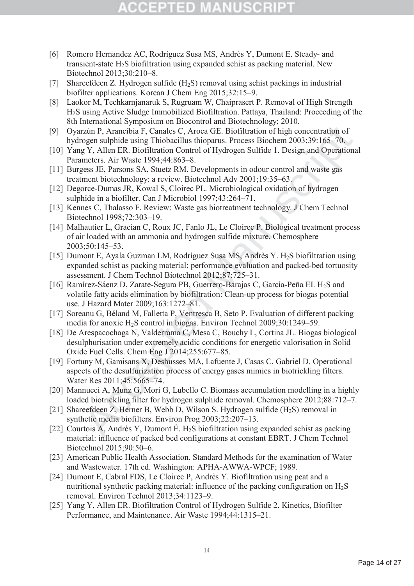## ecepied

- [6] Romero Hernandez AC, Rodríguez Susa MS, Andrès Y, Dumont E. Steady- and transient-state H2S biofiltration using expanded schist as packing material. New Biotechnol 2013;30:210–8.
- [7] Shareefdeen Z. Hydrogen sulfide (H2S) removal using schist packings in industrial biofilter applications. Korean J Chem Eng 2015;32:15–9.
- [8] Laokor M, Techkarnjanaruk S, Rugruam W, Chaiprasert P. Removal of High Strength H2S using Active Sludge Immobilized Biofiltration. Pattaya, Thailand: Proceeding of the 8th International Symposium on Biocontrol and Biotechnology; 2010.
- [9] Oyarzún P, Arancibia F, Canales C, Aroca GE. Biofiltration of high concentration of hydrogen sulphide using Thiobacillus thioparus. Process Biochem 2003;39:165–70.
- [10] Yang Y, Allen ER. Biofiltration Control of Hydrogen Sulfide 1. Design and Operational Parameters. Air Waste 1994;44:863–8.
- [11] Burgess JE, Parsons SA, Stuetz RM. Developments in odour control and waste gas treatment biotechnology: a review. Biotechnol Adv 2001;19:35–63.
- [12] Degorce-Dumas JR, Kowal S, Cloirec PL. Microbiological oxidation of hydrogen sulphide in a biofilter. Can J Microbiol 1997;43:264–71.
- [13] Kennes C, Thalasso F. Review: Waste gas biotreatment technology. J Chem Technol Biotechnol 1998;72:303–19.
- [14] Malhautier L, Gracian C, Roux JC, Fanlo JL, Le Cloirec P. Biological treatment process of air loaded with an ammonia and hydrogen sulfide mixture. Chemosphere 2003;50:145–53.
- nyaln P, Arachiba F, Canales C, Aroca GE. Biofiltration of high concentration of<br>prin P, Arachiba F, Canales C, Aroca GE. Biofiltration of high concentration of<br>prin P, Arachiba F, Canales C, Aroca GE. Biofiltration confro [15] Dumont E, Ayala Guzman LM, Rodríguez Susa MS, Andrès Y. H<sub>2</sub>S biofiltration using expanded schist as packing material: performance evaluation and packed-bed tortuosity assessment. J Chem Technol Biotechnol 2012;87:725–31.
- [16] Ramírez-Sáenz D, Zarate-Segura PB, Guerrero-Barajas C, García-Peña EI. H<sub>2</sub>S and volatile fatty acids elimination by biofiltration: Clean-up process for biogas potential use. J Hazard Mater 2009;163:1272–81.
- [17] Soreanu G, Béland M, Falletta P, Ventresca B, Seto P. Evaluation of different packing media for anoxic H2S control in biogas. Environ Technol 2009;30:1249–59.
- [18] De Arespacochaga N, Valderrama C, Mesa C, Bouchy L, Cortina JL. Biogas biological desulphurisation under extremely acidic conditions for energetic valorisation in Solid Oxide Fuel Cells. Chem Eng J 2014;255:677–85.
- [19] Fortuny M, Gamisans X, Deshusses MA, Lafuente J, Casas C, Gabriel D. Operational aspects of the desulfurization process of energy gases mimics in biotrickling filters. Water Res 2011;45:5665–74.
- [20] Mannucci A, Munz G, Mori G, Lubello C. Biomass accumulation modelling in a highly loaded biotrickling filter for hydrogen sulphide removal. Chemosphere 2012;88:712–7.
- [21] Shareefdeen Z, Herner B, Webb D, Wilson S. Hydrogen sulfide (H<sub>2</sub>S) removal in synthetic media biofilters. Environ Prog 2003;22:207–13.
- [22] Courtois A, Andrès Y, Dumont É. H<sub>2</sub>S biofiltration using expanded schist as packing material: influence of packed bed configurations at constant EBRT. J Chem Technol Biotechnol 2015;90:50–6.
- [23] American Public Health Association. Standard Methods for the examination of Water and Wastewater. 17th ed. Washington: APHA-AWWA-WPCF; 1989.
- [24] Dumont E, Cabral FDS, Le Cloirec P, Andrès Y. Biofiltration using peat and a nutritional synthetic packing material: influence of the packing configuration on  $H_2S$ removal. Environ Technol 2013;34:1123–9.
- [25] Yang Y, Allen ER. Biofiltration Control of Hydrogen Sulfide 2. Kinetics, Biofilter Performance, and Maintenance. Air Waste 1994;44:1315–21.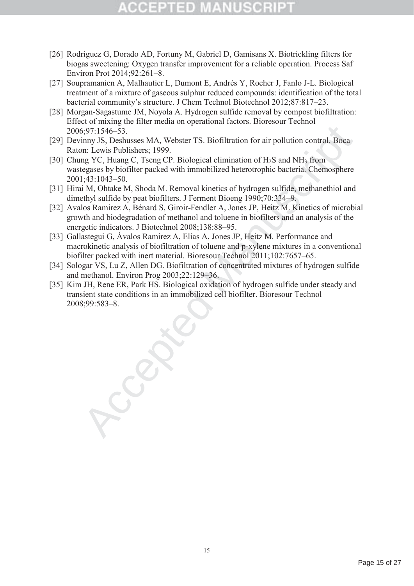- [26] Rodriguez G, Dorado AD, Fortuny M, Gabriel D, Gamisans X. Biotrickling filters for biogas sweetening: Oxygen transfer improvement for a reliable operation. Process Saf Environ Prot 2014;92:261–8.
- [27] Soupramanien A, Malhautier L, Dumont E, Andrès Y, Rocher J, Fanlo J-L. Biological treatment of a mixture of gaseous sulphur reduced compounds: identification of the total bacterial community's structure. J Chem Technol Biotechnol 2012;87:817–23.
- [28] Morgan-Sagastume JM, Noyola A. Hydrogen sulfide removal by compost biofiltration: Effect of mixing the filter media on operational factors. Bioresour Technol 2006;97:1546–53.
- [29] Devinny JS, Deshusses MA, Webster TS. Biofiltration for air pollution control. Boca Raton: Lewis Publishers; 1999.
- [30] Chung YC, Huang C, Tseng CP. Biological elimination of H<sub>2</sub>S and NH<sub>3</sub> from wastegases by biofilter packed with immobilized heterotrophic bacteria. Chemosphere 2001;43:1043–50.
- [31] Hirai M, Ohtake M, Shoda M. Removal kinetics of hydrogen sulfide, methanethiol and dimethyl sulfide by peat biofilters. J Ferment Bioeng 1990;70:334–9.
- [32] Avalos Ramirez A, Bénard S, Giroir-Fendler A, Jones JP, Heitz M. Kinetics of microbial growth and biodegradation of methanol and toluene in biofilters and an analysis of the energetic indicators. J Biotechnol 2008;138:88–95.
- [33] Gallastegui G, Ávalos Ramirez A, Elías A, Jones JP, Heitz M. Performance and macrokinetic analysis of biofiltration of toluene and p-xylene mixtures in a conventional biofilter packed with inert material. Bioresour Technol 2011;102:7657–65.
- [34] Sologar VS, Lu Z, Allen DG. Biofiltration of concentrated mixtures of hydrogen sulfide and methanol. Environ Prog 2003;22:129–36.
- 5,97.1546–53.<br>
impl S, Deshusses MAA, Webster TS. Biofiltration for air pollution control. Boea<br>
im Lewis Publishers, 1999.<br>
m: Lewis Publishers, 1999.<br>
m: Lewis Publishers, 1999.<br>
m: Lewis Publishers, 1999.<br>
Make M, Shoda [35] Kim JH, Rene ER, Park HS. Biological oxidation of hydrogen sulfide under steady and transient state conditions in an immobilized cell biofilter. Bioresour Technol 2008;99:583–8.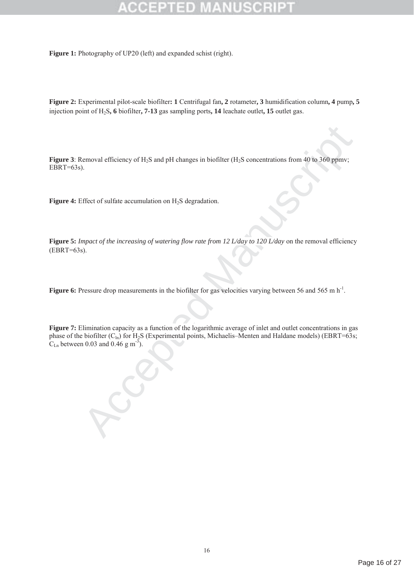Figure 1: Photography of UP20 (left) and expanded schist (right).

**Figure 2:** Experimental pilot-scale biofilter**: 1** Centrifugal fan**, 2** rotameter**, 3** humidification column**, 4** pump**, 5** injection point of H2S**, 6** biofilter**, 7-13** gas sampling ports**, 14** leachate outlet**, 15** outlet gas.

**Figure 3**: Removal efficiency of H<sub>2</sub>S and pH changes in biofilter (H<sub>2</sub>S concentrations from 40 to 360 ppmv;  $EBRT=63s$ ).

**Figure 4:** Effect of sulfate accumulation on H<sub>2</sub>S degradation.

**Figure 5:** *Impact of the increasing of watering flow rate from 12 L/day to 120 L/day* on the removal efficiency  $(EBRT=63s)$ .

**Figure 6:** Pressure drop measurements in the biofilter for gas velocities varying between 56 and 565 m h<sup>-1</sup>.

temoval efficiency of H<sub>2</sub>S and pH changes in biofilter (H<sub>2</sub>S concentrations from 40 to 360 ppmv;<br>
).<br>
Effect of sulfitte accumulation on H<sub>2</sub>S degradation.<br> *Accepted Manuscript of watering flow rate from 12 L/day to 12* **Figure 7:** Elimination capacity as a function of the logarithmic average of inlet and outlet concentrations in gas phase of the biofilter  $(C_{ln})$  for  $H_2S$  (Experimental points, Michaelis–Menten and Haldane models) (EBRT=63s;  $C_{\text{Ln}}$  between 0.03 and 0.46 g m<sup>-3</sup>).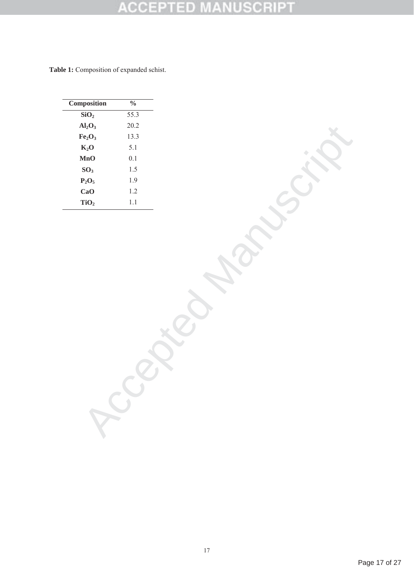### SCRI רפו sb C C

Table 1: Composition of expanded schist.

| Composition                    | $\frac{0}{0}$ |
|--------------------------------|---------------|
| SiO <sub>2</sub>               | 55.3          |
| $Al_2O_3$                      | 20.2          |
| Fe <sub>2</sub> O <sub>3</sub> | 13.3          |
| $K_2O$                         | 5.1           |
| MnO                            | 0.1           |
| SO <sub>3</sub>                | 1.5           |
| $P_2O_5$                       | 1.9           |
| CaO                            | 1.2           |
| TiO <sub>2</sub>               | 1.1           |

Tenantic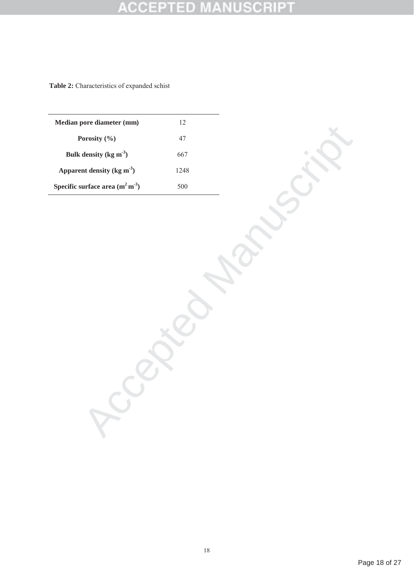### **ISCRIPT**  $\mathsf{c}\mathsf{c}\mathsf{e}$ ≍D I  $\pm$ B

**Table 2:** Characteristics of expanded schist

| Median pore diameter (mm)         | 12   |
|-----------------------------------|------|
| Porosity $(\% )$                  | 47   |
| Bulk density (kg $m^3$ )          | 667  |
| Apparent density (kg $m3$ )       | 1248 |
| Specific surface area $(m^2 m^3)$ | 500  |

**Possie**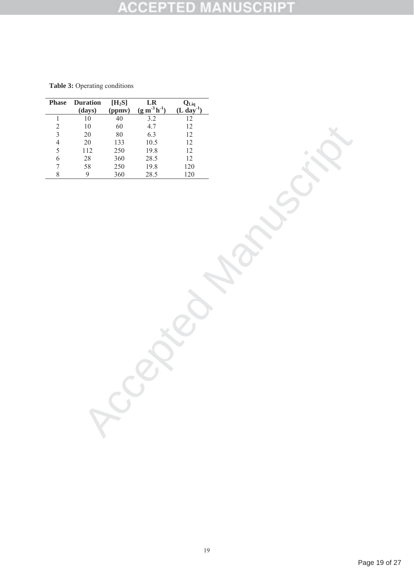### **MANUSCRIPT ACCEPTED**

| Table 3: Operating conditions |
|-------------------------------|
|                               |

| Phase                    | <b>Duration</b>            | $[H_2S]$                   |                                                    |                                                 |
|--------------------------|----------------------------|----------------------------|----------------------------------------------------|-------------------------------------------------|
|                          |                            |                            |                                                    | $Q_{\text{Liq}}$ (L day <sup>-1</sup> )         |
| $\,1$                    | $\frac{(\text{days})}{10}$ | $\frac{\text{(ppmv)}}{40}$ | LR<br>$\frac{(g m^3 h^1)}{3.2}$<br>$\frac{1}{1.7}$ | $\overline{12}$                                 |
|                          | $10\,$                     | 60                         | 4.7                                                |                                                 |
| $\frac{2}{3}$            | $20\,$                     | $80\,$                     | 6.3                                                | $\begin{array}{c} 12 \\ 12 \end{array}$         |
| $\overline{4}$           | $20\,$                     | 133                        | $10.5$                                             | $12\,$                                          |
| 5                        | $112\,$                    | 250                        | $19.8\,$                                           | $12\,$                                          |
| $\overline{6}$           |                            | 360                        | $28.5\,$                                           |                                                 |
| $\overline{\mathcal{I}}$ |                            | $250\,$                    |                                                    |                                                 |
| $\,8\,$                  | $\frac{28}{58}$            | 360                        | $\frac{19.8}{28.5}$                                | $\begin{array}{c} 12 \\ 120 \\ 120 \end{array}$ |
|                          |                            |                            |                                                    |                                                 |
|                          |                            |                            |                                                    |                                                 |
|                          |                            |                            |                                                    |                                                 |
|                          |                            |                            |                                                    |                                                 |
|                          |                            |                            |                                                    |                                                 |
|                          |                            |                            |                                                    |                                                 |
|                          |                            |                            |                                                    |                                                 |
|                          |                            |                            |                                                    |                                                 |
|                          |                            |                            |                                                    |                                                 |
|                          |                            |                            |                                                    |                                                 |
|                          |                            |                            |                                                    |                                                 |
|                          |                            |                            |                                                    |                                                 |
|                          |                            |                            |                                                    |                                                 |
|                          |                            |                            |                                                    |                                                 |
|                          |                            |                            |                                                    |                                                 |
|                          |                            |                            |                                                    |                                                 |
|                          |                            |                            |                                                    |                                                 |
|                          |                            |                            |                                                    |                                                 |
|                          |                            |                            |                                                    |                                                 |
|                          |                            |                            |                                                    |                                                 |
|                          |                            |                            |                                                    |                                                 |
|                          |                            |                            |                                                    |                                                 |
|                          |                            |                            |                                                    |                                                 |
|                          |                            |                            |                                                    |                                                 |
|                          |                            |                            |                                                    |                                                 |
|                          |                            |                            |                                                    |                                                 |
|                          |                            |                            |                                                    |                                                 |
|                          |                            |                            |                                                    |                                                 |
|                          |                            |                            |                                                    |                                                 |
|                          |                            |                            |                                                    |                                                 |
|                          |                            |                            |                                                    |                                                 |
|                          |                            |                            |                                                    |                                                 |
|                          |                            |                            |                                                    |                                                 |
|                          |                            |                            |                                                    |                                                 |
|                          |                            |                            |                                                    |                                                 |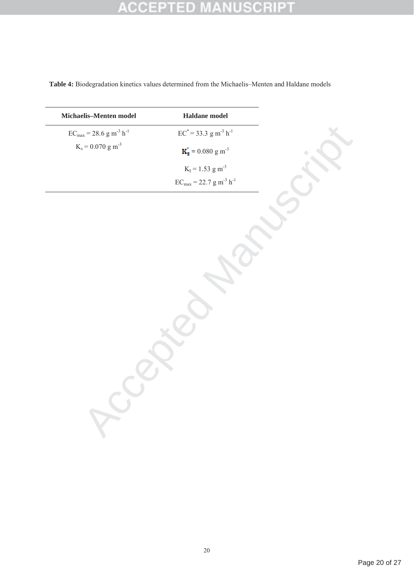## **ACCEPTED MANUSCRIPT**

**Table 4:** Biodegradation kinetics values determined from the Michaelis–Menten and Haldane models

| Michaelis-Menten model                              | Haldane model                                   |
|-----------------------------------------------------|-------------------------------------------------|
| $EC_{max}$ = 28.6 g m <sup>-3</sup> h <sup>-1</sup> | $EC^*$ = 33.3 g m <sup>-3</sup> h <sup>-1</sup> |
| $K_s = 0.070$ g m <sup>-3</sup>                     | $K'_{s} = 0.080 g m^{-3}$                       |
|                                                     | $K_I = 1.53$ g m <sup>-3</sup>                  |
|                                                     | $EC_{max} = 22.7 g m^{-3} h^{-1}$               |
|                                                     |                                                 |
|                                                     |                                                 |
|                                                     |                                                 |
|                                                     |                                                 |
|                                                     |                                                 |
|                                                     |                                                 |
|                                                     |                                                 |
|                                                     |                                                 |
|                                                     |                                                 |
|                                                     |                                                 |
|                                                     |                                                 |
|                                                     |                                                 |
|                                                     |                                                 |
|                                                     |                                                 |
|                                                     |                                                 |
|                                                     |                                                 |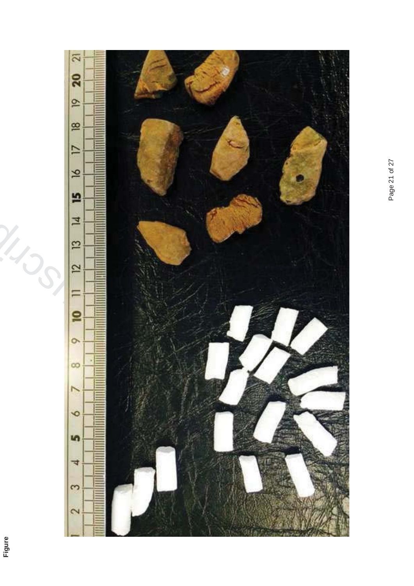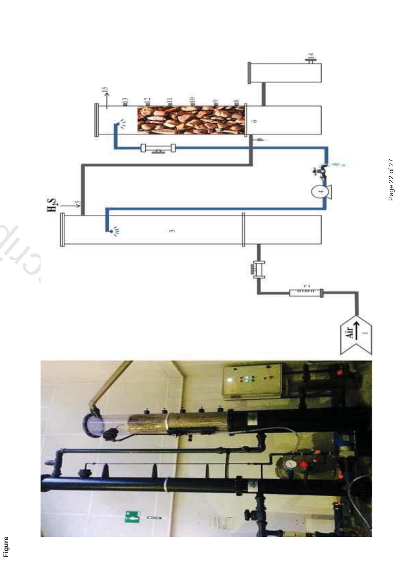

Page 22 of 27 Page 22 of 27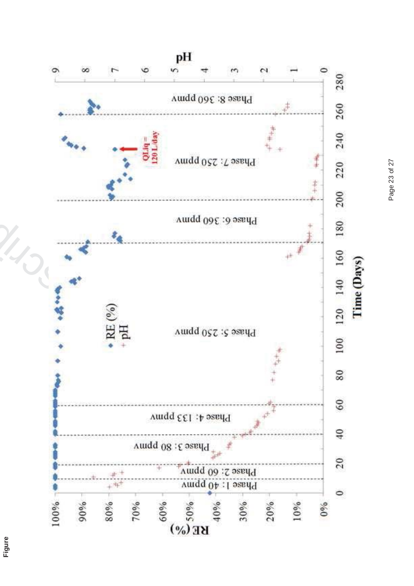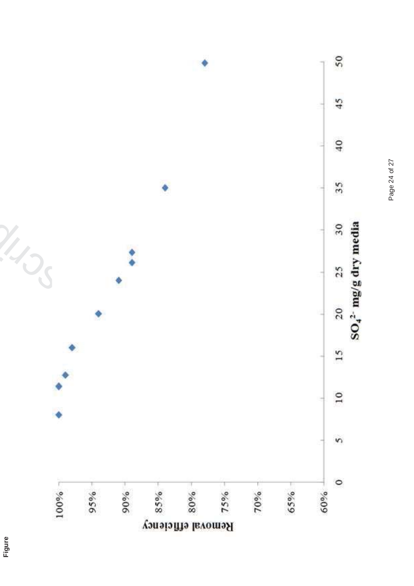

**Figure**

Page 24 of 27 Page 24 of 27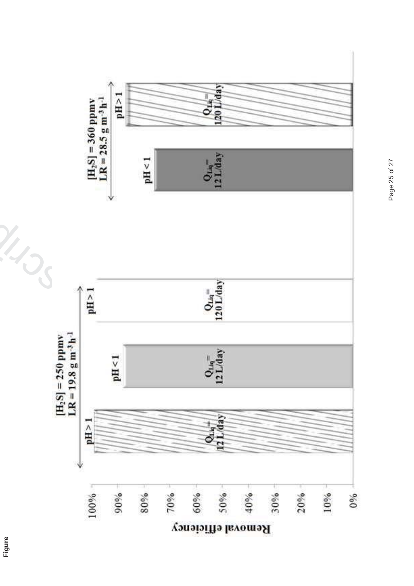

Page 25 of 27 Page 25 of 27

**Figure**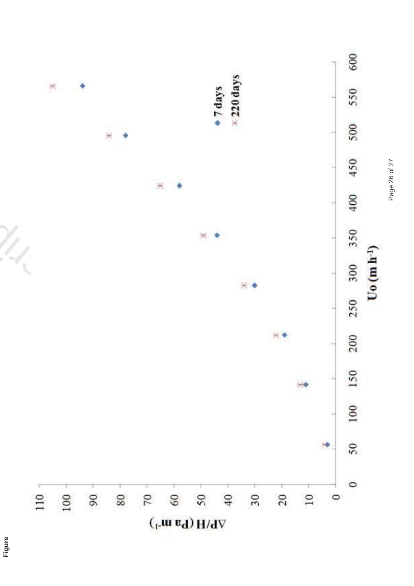

**Figure**